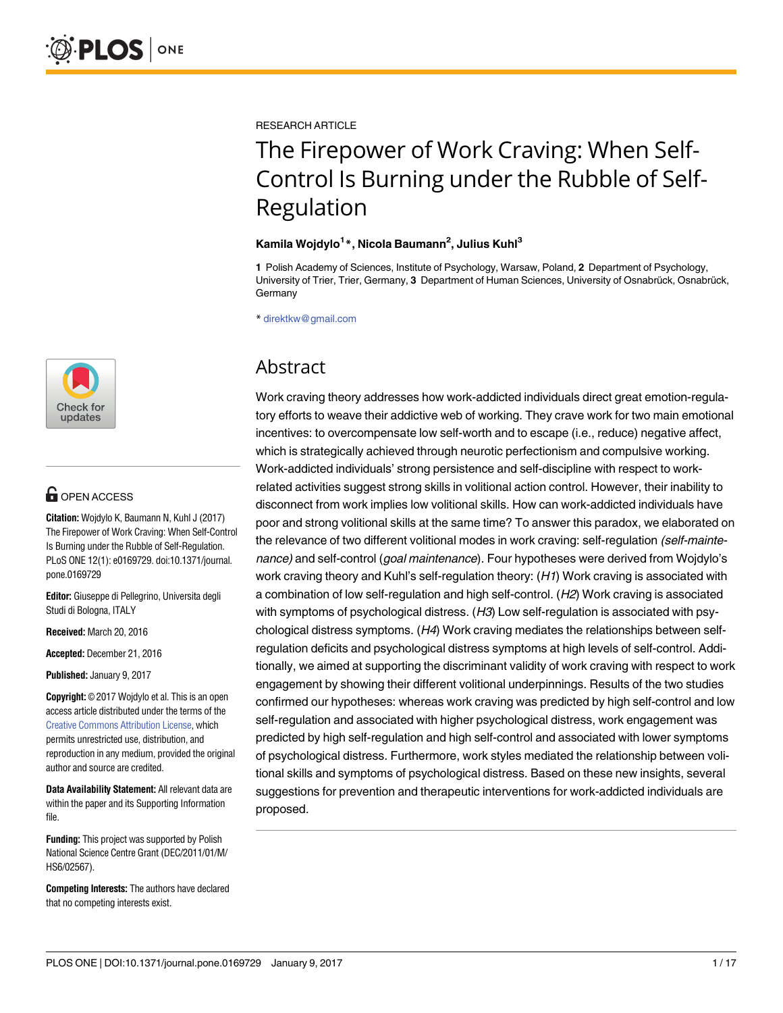

# **OPEN ACCESS**

**Citation:** Wojdylo K, Baumann N, Kuhl J (2017) The Firepower of Work Craving: When Self-Control Is Burning under the Rubble of Self-Regulation. PLoS ONE 12(1): e0169729. doi:10.1371/journal. pone.0169729

**Editor:** Giuseppe di Pellegrino, Universita degli Studi di Bologna, ITALY

**Received:** March 20, 2016

**Accepted:** December 21, 2016

**Published:** January 9, 2017

**Copyright:** © 2017 Wojdylo et al. This is an open access article distributed under the terms of the Creative Commons [Attribution](http://creativecommons.org/licenses/by/4.0/) License, which permits unrestricted use, distribution, and reproduction in any medium, provided the original author and source are credited.

**Data Availability Statement:** All relevant data are within the paper and its Supporting Information file.

**Funding:** This project was supported by Polish National Science Centre Grant (DEC/2011/01/M/ HS6/02567).

**Competing Interests:** The authors have declared that no competing interests exist.

RESEARCH ARTICLE

# The Firepower of Work Craving: When Self-Control Is Burning under the Rubble of Self-Regulation

#### **Kamila Wojdylo1 \*, Nicola Baumann2 , Julius Kuhl3**

**1** Polish Academy of Sciences, Institute of Psychology, Warsaw, Poland, **2** Department of Psychology, University of Trier, Trier, Germany, 3 Department of Human Sciences, University of Osnabrück, Osnabrück, **Germany** 

\* direktkw@gmail.com

# Abstract

Work craving theory addresses how work-addicted individuals direct great emotion-regulatory efforts to weave their addictive web of working. They crave work for two main emotional incentives: to overcompensate low self-worth and to escape (i.e., reduce) negative affect, which is strategically achieved through neurotic perfectionism and compulsive working. Work-addicted individuals' strong persistence and self-discipline with respect to workrelated activities suggest strong skills in volitional action control. However, their inability to disconnect from work implies low volitional skills. How can work-addicted individuals have poor and strong volitional skills at the same time? To answer this paradox, we elaborated on the relevance of two different volitional modes in work craving: self-regulation (self-maintenance) and self-control (goal maintenance). Four hypotheses were derived from Wojdylo's work craving theory and Kuhl's self-regulation theory: (H1) Work craving is associated with a combination of low self-regulation and high self-control. (H2) Work craving is associated with symptoms of psychological distress. (H3) Low self-regulation is associated with psychological distress symptoms.  $(H4)$  Work craving mediates the relationships between selfregulation deficits and psychological distress symptoms at high levels of self-control. Additionally, we aimed at supporting the discriminant validity of work craving with respect to work engagement by showing their different volitional underpinnings. Results of the two studies confirmed our hypotheses: whereas work craving was predicted by high self-control and low self-regulation and associated with higher psychological distress, work engagement was predicted by high self-regulation and high self-control and associated with lower symptoms of psychological distress. Furthermore, work styles mediated the relationship between volitional skills and symptoms of psychological distress. Based on these new insights, several suggestions for prevention and therapeutic interventions for work-addicted individuals are proposed.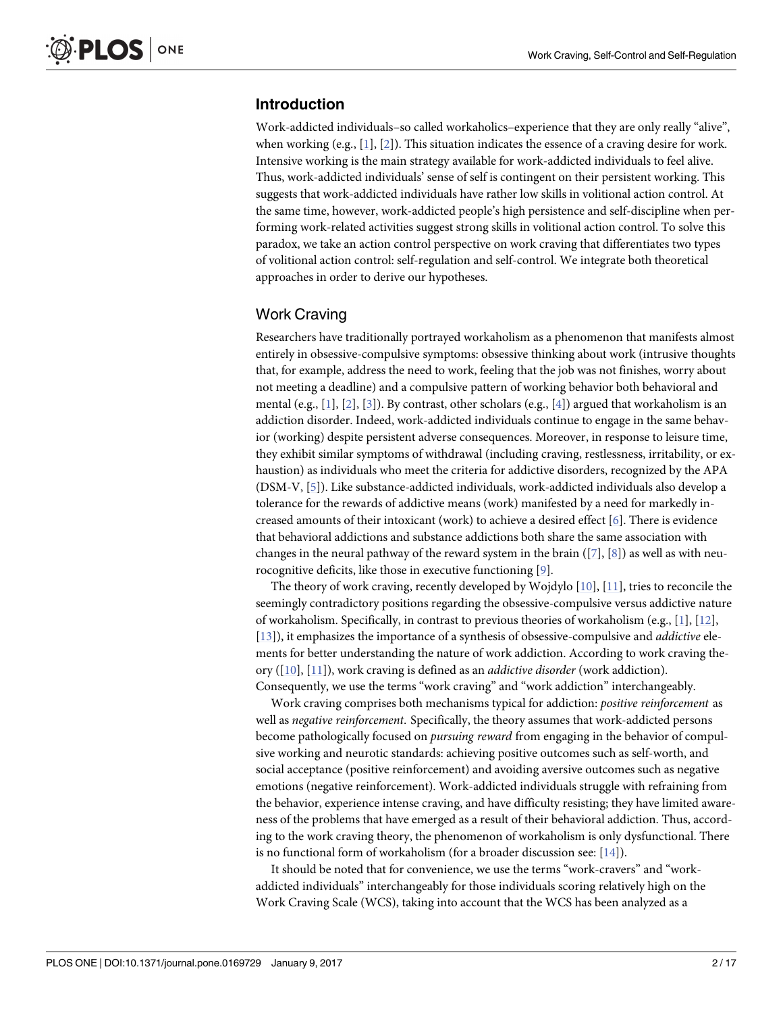# <span id="page-1-0"></span>**Introduction**

Work-addicted individuals–so called workaholics–experience that they are only really "alive", when working  $(e.g., [1], [2])$  $(e.g., [1], [2])$  $(e.g., [1], [2])$  $(e.g., [1], [2])$  $(e.g., [1], [2])$ . This situation indicates the essence of a craving desire for work. Intensive working is the main strategy available for work-addicted individuals to feel alive. Thus, work-addicted individuals' sense of self is contingent on their persistent working. This suggests that work-addicted individuals have rather low skills in volitional action control. At the same time, however, work-addicted people's high persistence and self-discipline when performing work-related activities suggest strong skills in volitional action control. To solve this paradox, we take an action control perspective on work craving that differentiates two types of volitional action control: self-regulation and self-control. We integrate both theoretical approaches in order to derive our hypotheses.

## Work Craving

Researchers have traditionally portrayed workaholism as a phenomenon that manifests almost entirely in obsessive-compulsive symptoms: obsessive thinking about work (intrusive thoughts that, for example, address the need to work, feeling that the job was not finishes, worry about not meeting a deadline) and a compulsive pattern of working behavior both behavioral and mental (e.g., [[1](#page-14-0)], [[2](#page-14-0)], [[3](#page-14-0)]). By contrast, other scholars (e.g., [[4](#page-14-0)]) argued that workaholism is an addiction disorder. Indeed, work-addicted individuals continue to engage in the same behavior (working) despite persistent adverse consequences. Moreover, in response to leisure time, they exhibit similar symptoms of withdrawal (including craving, restlessness, irritability, or exhaustion) as individuals who meet the criteria for addictive disorders, recognized by the APA (DSM-V, [[5\]](#page-14-0)). Like substance-addicted individuals, work-addicted individuals also develop a tolerance for the rewards of addictive means (work) manifested by a need for markedly increased amounts of their intoxicant (work) to achieve a desired effect [\[6](#page-14-0)]. There is evidence that behavioral addictions and substance addictions both share the same association with changes in the neural pathway of the reward system in the brain ([\[7](#page-14-0)], [\[8](#page-14-0)]) as well as with neurocognitive deficits, like those in executive functioning [[9](#page-14-0)].

The theory of work craving, recently developed by Wojdylo [[10](#page-14-0)], [[11](#page-14-0)], tries to reconcile the seemingly contradictory positions regarding the obsessive-compulsive versus addictive nature of workaholism. Specifically, in contrast to previous theories of workaholism (e.g., [[1\]](#page-14-0), [[12](#page-14-0)], [\[13\]](#page-14-0)), it emphasizes the importance of a synthesis of obsessive-compulsive and *addictive* elements for better understanding the nature of work addiction. According to work craving theory ([\[10\]](#page-14-0), [\[11\]](#page-14-0)), work craving is defined as an *addictive disorder* (work addiction). Consequently, we use the terms "work craving" and "work addiction" interchangeably.

Work craving comprises both mechanisms typical for addiction: *positive reinforcement* as well as *negative reinforcement*. Specifically, the theory assumes that work-addicted persons become pathologically focused on *pursuing reward* from engaging in the behavior of compulsive working and neurotic standards: achieving positive outcomes such as self-worth, and social acceptance (positive reinforcement) and avoiding aversive outcomes such as negative emotions (negative reinforcement). Work-addicted individuals struggle with refraining from the behavior, experience intense craving, and have difficulty resisting; they have limited awareness of the problems that have emerged as a result of their behavioral addiction. Thus, according to the work craving theory, the phenomenon of workaholism is only dysfunctional. There is no functional form of workaholism (for a broader discussion see: [\[14\]](#page-14-0)).

It should be noted that for convenience, we use the terms "work-cravers" and "workaddicted individuals" interchangeably for those individuals scoring relatively high on the Work Craving Scale (WCS), taking into account that the WCS has been analyzed as a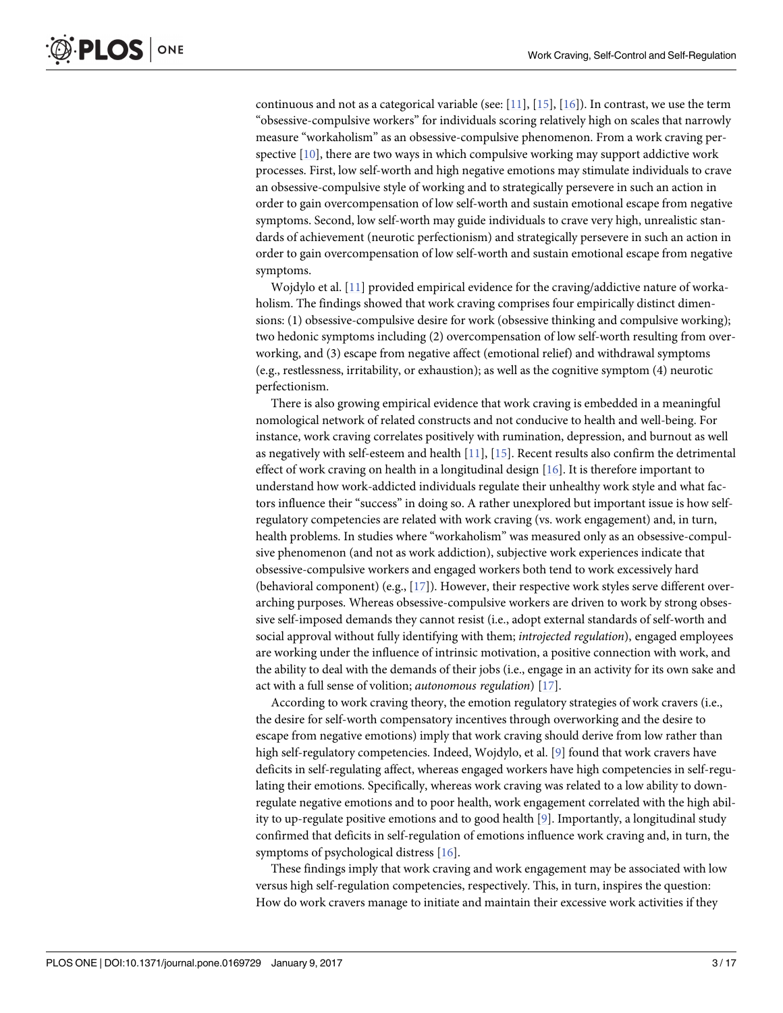<span id="page-2-0"></span>continuous and not as a categorical variable (see:  $[11]$ ,  $[15]$  $[15]$  $[15]$ ,  $[16]$  $[16]$  $[16]$ ). In contrast, we use the term "obsessive-compulsive workers" for individuals scoring relatively high on scales that narrowly measure "workaholism" as an obsessive-compulsive phenomenon. From a work craving perspective  $[10]$ , there are two ways in which compulsive working may support addictive work processes. First, low self-worth and high negative emotions may stimulate individuals to crave an obsessive-compulsive style of working and to strategically persevere in such an action in order to gain overcompensation of low self-worth and sustain emotional escape from negative symptoms. Second, low self-worth may guide individuals to crave very high, unrealistic standards of achievement (neurotic perfectionism) and strategically persevere in such an action in order to gain overcompensation of low self-worth and sustain emotional escape from negative symptoms.

Wojdylo et al. [[11](#page-14-0)] provided empirical evidence for the craving/addictive nature of workaholism. The findings showed that work craving comprises four empirically distinct dimensions: (1) obsessive-compulsive desire for work (obsessive thinking and compulsive working); two hedonic symptoms including (2) overcompensation of low self-worth resulting from overworking, and (3) escape from negative affect (emotional relief) and withdrawal symptoms (e.g., restlessness, irritability, or exhaustion); as well as the cognitive symptom (4) neurotic perfectionism.

There is also growing empirical evidence that work craving is embedded in a meaningful nomological network of related constructs and not conducive to health and well-being. For instance, work craving correlates positively with rumination, depression, and burnout as well as negatively with self-esteem and health [\[11\]](#page-14-0), [\[15\]](#page-14-0). Recent results also confirm the detrimental effect of work craving on health in a longitudinal design [\[16\]](#page-14-0). It is therefore important to understand how work-addicted individuals regulate their unhealthy work style and what factors influence their "success" in doing so. A rather unexplored but important issue is how selfregulatory competencies are related with work craving (vs. work engagement) and, in turn, health problems. In studies where "workaholism" was measured only as an obsessive-compulsive phenomenon (and not as work addiction), subjective work experiences indicate that obsessive-compulsive workers and engaged workers both tend to work excessively hard (behavioral component) (e.g., [\[17\]](#page-14-0)). However, their respective work styles serve different overarching purposes. Whereas obsessive-compulsive workers are driven to work by strong obsessive self-imposed demands they cannot resist (i.e., adopt external standards of self-worth and social approval without fully identifying with them; *introjected regulation*), engaged employees are working under the influence of intrinsic motivation, a positive connection with work, and the ability to deal with the demands of their jobs (i.e., engage in an activity for its own sake and act with a full sense of volition; *autonomous regulation*) [\[17\]](#page-14-0).

According to work craving theory, the emotion regulatory strategies of work cravers (i.e., the desire for self-worth compensatory incentives through overworking and the desire to escape from negative emotions) imply that work craving should derive from low rather than high self-regulatory competencies. Indeed, Wojdylo, et al. [\[9](#page-14-0)] found that work cravers have deficits in self-regulating affect, whereas engaged workers have high competencies in self-regulating their emotions. Specifically, whereas work craving was related to a low ability to downregulate negative emotions and to poor health, work engagement correlated with the high ability to up-regulate positive emotions and to good health [\[9](#page-14-0)]. Importantly, a longitudinal study confirmed that deficits in self-regulation of emotions influence work craving and, in turn, the symptoms of psychological distress [\[16\]](#page-14-0).

These findings imply that work craving and work engagement may be associated with low versus high self-regulation competencies, respectively. This, in turn, inspires the question: How do work cravers manage to initiate and maintain their excessive work activities if they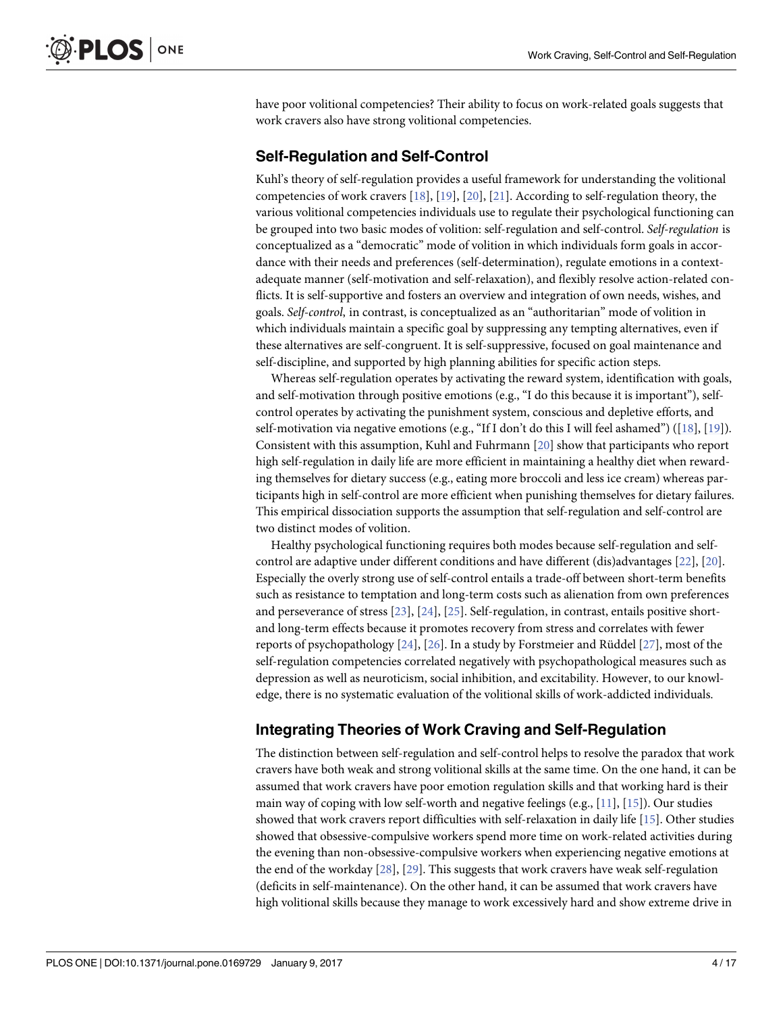<span id="page-3-0"></span>have poor volitional competencies? Their ability to focus on work-related goals suggests that work cravers also have strong volitional competencies.

#### **Self-Regulation and Self-Control**

Kuhl's theory of self-regulation provides a useful framework for understanding the volitional competencies of work cravers [\[18\]](#page-14-0), [\[19\]](#page-14-0), [\[20\]](#page-14-0), [[21](#page-15-0)]. According to self-regulation theory, the various volitional competencies individuals use to regulate their psychological functioning can be grouped into two basic modes of volition: self-regulation and self-control. *Self-regulation* is conceptualized as a "democratic" mode of volition in which individuals form goals in accordance with their needs and preferences (self-determination), regulate emotions in a contextadequate manner (self-motivation and self-relaxation), and flexibly resolve action-related conflicts. It is self-supportive and fosters an overview and integration of own needs, wishes, and goals. *Self-control*, in contrast, is conceptualized as an "authoritarian" mode of volition in which individuals maintain a specific goal by suppressing any tempting alternatives, even if these alternatives are self-congruent. It is self-suppressive, focused on goal maintenance and self-discipline, and supported by high planning abilities for specific action steps.

Whereas self-regulation operates by activating the reward system, identification with goals, and self-motivation through positive emotions (e.g., "I do this because it is important"), selfcontrol operates by activating the punishment system, conscious and depletive efforts, and self-motivation via negative emotions (e.g., "If I don't do this I will feel ashamed") ([\[18\]](#page-14-0), [[19](#page-14-0)]). Consistent with this assumption, Kuhl and Fuhrmann [\[20\]](#page-14-0) show that participants who report high self-regulation in daily life are more efficient in maintaining a healthy diet when rewarding themselves for dietary success (e.g., eating more broccoli and less ice cream) whereas participants high in self-control are more efficient when punishing themselves for dietary failures. This empirical dissociation supports the assumption that self-regulation and self-control are two distinct modes of volition.

Healthy psychological functioning requires both modes because self-regulation and selfcontrol are adaptive under different conditions and have different (dis)advantages [\[22\]](#page-15-0), [[20](#page-14-0)]. Especially the overly strong use of self-control entails a trade-off between short-term benefits such as resistance to temptation and long-term costs such as alienation from own preferences and perseverance of stress [[23](#page-15-0)], [[24](#page-15-0)], [\[25\]](#page-15-0). Self-regulation, in contrast, entails positive shortand long-term effects because it promotes recovery from stress and correlates with fewer reports of psychopathology  $[24]$  $[24]$  $[24]$ ,  $[26]$  $[26]$  $[26]$ . In a study by Forstmeier and Rüddel  $[27]$  $[27]$ , most of the self-regulation competencies correlated negatively with psychopathological measures such as depression as well as neuroticism, social inhibition, and excitability. However, to our knowledge, there is no systematic evaluation of the volitional skills of work-addicted individuals.

# **Integrating Theories of Work Craving and Self-Regulation**

The distinction between self-regulation and self-control helps to resolve the paradox that work cravers have both weak and strong volitional skills at the same time. On the one hand, it can be assumed that work cravers have poor emotion regulation skills and that working hard is their main way of coping with low self-worth and negative feelings (e.g., [[11](#page-14-0)], [\[15\]](#page-14-0)). Our studies showed that work cravers report difficulties with self-relaxation in daily life [\[15\]](#page-14-0). Other studies showed that obsessive-compulsive workers spend more time on work-related activities during the evening than non-obsessive-compulsive workers when experiencing negative emotions at the end of the workday [\[28\]](#page-15-0), [[29](#page-15-0)]. This suggests that work cravers have weak self-regulation (deficits in self-maintenance). On the other hand, it can be assumed that work cravers have high volitional skills because they manage to work excessively hard and show extreme drive in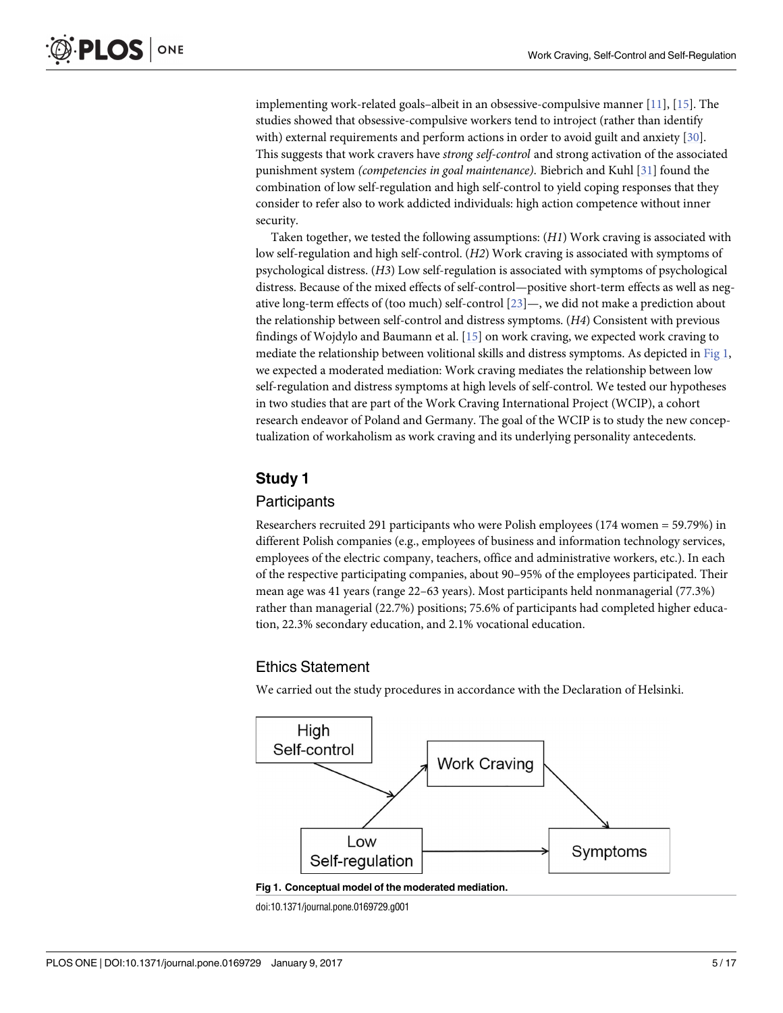<span id="page-4-0"></span>implementing work-related goals–albeit in an obsessive-compulsive manner [[11](#page-14-0)], [[15\]](#page-14-0). The studies showed that obsessive-compulsive workers tend to introject (rather than identify with) external requirements and perform actions in order to avoid guilt and anxiety [\[30\]](#page-15-0). This suggests that work cravers have *strong self-control* and strong activation of the associated punishment system *(competencies in goal maintenance)*. Biebrich and Kuhl [\[31\]](#page-15-0) found the combination of low self-regulation and high self-control to yield coping responses that they consider to refer also to work addicted individuals: high action competence without inner security.

Taken together, we tested the following assumptions: (*H1*) Work craving is associated with low self-regulation and high self-control. (*H2*) Work craving is associated with symptoms of psychological distress. (*H3*) Low self-regulation is associated with symptoms of psychological distress. Because of the mixed effects of self-control—positive short-term effects as well as negative long-term effects of (too much) self-control [[23](#page-15-0)]—, we did not make a prediction about the relationship between self-control and distress symptoms. (*H4*) Consistent with previous findings of Wojdylo and Baumann et al. [\[15\]](#page-14-0) on work craving, we expected work craving to mediate the relationship between volitional skills and distress symptoms. As depicted in Fig 1, we expected a moderated mediation: Work craving mediates the relationship between low self-regulation and distress symptoms at high levels of self-control. We tested our hypotheses in two studies that are part of the Work Craving International Project (WCIP), a cohort research endeavor of Poland and Germany. The goal of the WCIP is to study the new conceptualization of workaholism as work craving and its underlying personality antecedents.

# **Study 1**

#### Participants

Researchers recruited 291 participants who were Polish employees (174 women = 59.79%) in different Polish companies (e.g., employees of business and information technology services, employees of the electric company, teachers, office and administrative workers, etc.). In each of the respective participating companies, about 90–95% of the employees participated. Their mean age was 41 years (range 22–63 years). Most participants held nonmanagerial (77.3%) rather than managerial (22.7%) positions; 75.6% of participants had completed higher education, 22.3% secondary education, and 2.1% vocational education.

## Ethics Statement

We carried out the study procedures in accordance with the Declaration of Helsinki.





doi:10.1371/journal.pone.0169729.g001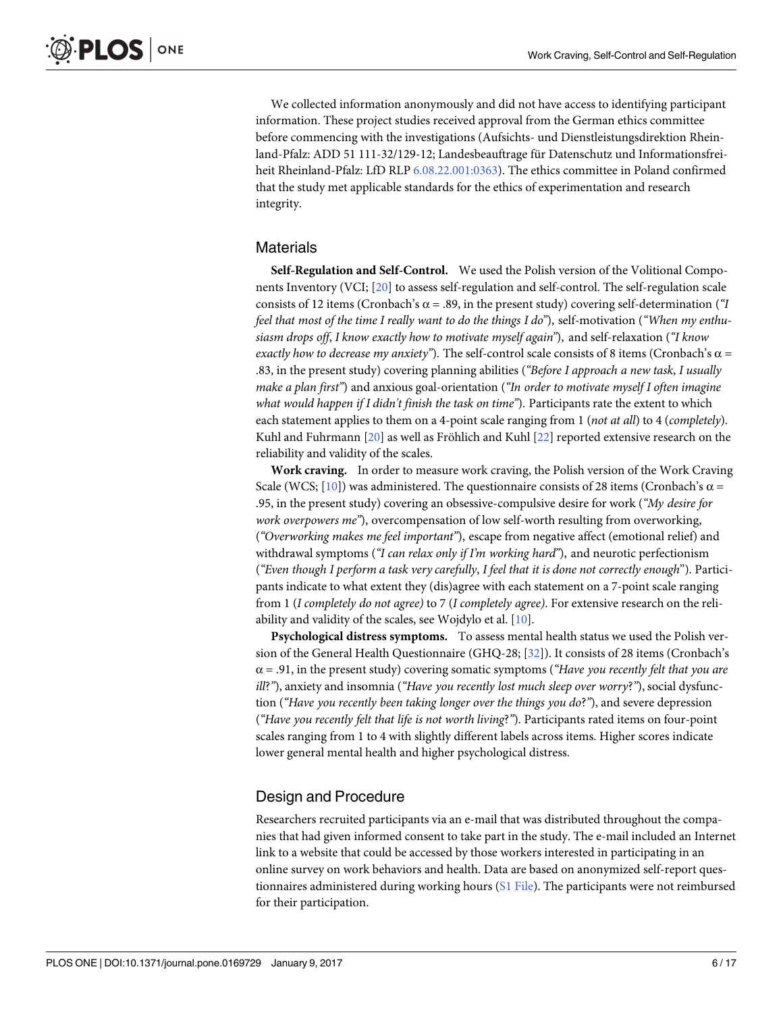<span id="page-5-0"></span>We collected information anonymously and did not have access to identifying participant information. These project studies received approval from the German ethics committee before commencing with the investigations (Aufsichts- und Dienstleistungsdirektion Rheinland-Pfalz: ADD 51 111-32/129-12; Landesbeauftrage für Datenschutz und Informationsfreiheit Rheinland-Pfalz: LfD RLP [6.08.22.001:0363](http://6.08.22.001:0363)). The ethics committee in Poland confirmed that the study met applicable standards for the ethics of experimentation and research integrity.

#### **Materials**

**Self-Regulation and Self-Control.** We used the Polish version of the Volitional Components Inventory (VCI; [[20](#page-14-0)] to assess self-regulation and self-control. The self-regulation scale consists of 12 items (Cronbach's  $\alpha$  = .89, in the present study) covering self-determination (*"I* feel that most of the time I really want to do the things I do"), self-motivation ("When my enthu*siasm drops off*, *I know exactly how to motivate myself again"*), and self-relaxation (*"I know exactly how to decrease my anxiety"*). The self-control scale consists of 8 items (Cronbach's α = .83, in the present study) covering planning abilities (*"Before I approach a new task*, *I usually make a plan first"*) and anxious goal-orientation (*"In order to motivate myself I often imagine what would happen if I didn't finish the task on time"*). Participants rate the extent to which each statement applies to them on a 4-point scale ranging from 1 (*not at all*) to 4 (*completely*). Kuhl and Fuhrmann [[20](#page-14-0)] as well as Fröhlich and Kuhl [\[22\]](#page-15-0) reported extensive research on the reliability and validity of the scales.

**Work craving.** In order to measure work craving, the Polish version of the Work Craving Scale (WCS; [[10](#page-14-0)]) was administered. The questionnaire consists of 28 items (Cronbach's  $\alpha$  = .95, in the present study) covering an obsessive-compulsive desire for work (*"My desire for work overpowers me"*), overcompensation of low self-worth resulting from overworking, (*"Overworking makes me feel important"*), escape from negative affect (emotional relief) and withdrawal symptoms (*"I can relax only if I'm working hard"*), and neurotic perfectionism (*"Even though I perform a task very carefully*, *I feel that it is done not correctly enough*"). Participants indicate to what extent they (dis)agree with each statement on a 7-point scale ranging from 1 (*I completely do not agree)* to 7 (*I completely agree)*. For extensive research on the reliability and validity of the scales, see Wojdylo et al. [[10](#page-14-0)].

**Psychological distress symptoms.** To assess mental health status we used the Polish version of the General Health Questionnaire (GHQ-28; [[32](#page-15-0)]). It consists of 28 items (Cronbach's  $\alpha = .91$ , in the present study) covering somatic symptoms (*"Have you recently felt that you are ill*?*"*), anxiety and insomnia (*"Have you recently lost much sleep over worry*?*"*),social dysfunction (*"Have you recently been taking longer over the things you do*?*"*), and severe depression (*"Have you recently felt that life is not worth living*?*"*). Participants rated items on four-point scales ranging from 1 to 4 with slightly different labels across items. Higher scores indicate lower general mental health and higher psychological distress.

# Design and Procedure

Researchers recruited participants via an e-mail that was distributed throughout the companies that had given informed consent to take part in the study. The e-mail included an Internet link to a website that could be accessed by those workers interested in participating in an online survey on work behaviors and health. Data are based on anonymized self-report questionnaires administered during working hours (S1 [File](#page-13-0)). The participants were not reimbursed for their participation.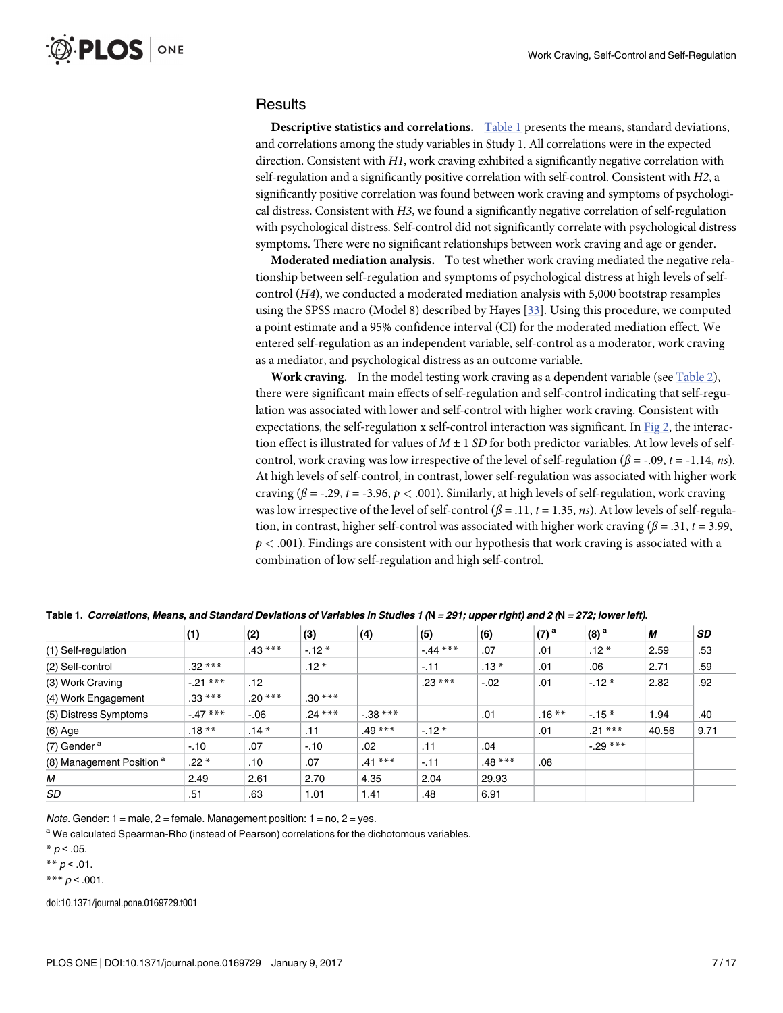#### <span id="page-6-0"></span>**Results**

**Descriptive statistics and correlations.** Table 1 presents the means, standard deviations, and correlations among the study variables in Study 1. All correlations were in the expected direction. Consistent with *H1*, work craving exhibited a significantly negative correlation with self-regulation and a significantly positive correlation with self-control. Consistent with *H2*, a significantly positive correlation was found between work craving and symptoms of psychological distress. Consistent with *H3*, we found a significantly negative correlation of self-regulation with psychological distress. Self-control did not significantly correlate with psychological distress symptoms. There were no significant relationships between work craving and age or gender.

**Moderated mediation analysis.** To test whether work craving mediated the negative relationship between self-regulation and symptoms of psychological distress at high levels of selfcontrol (*H4*), we conducted a moderated mediation analysis with 5,000 bootstrap resamples using the SPSS macro (Model 8) described by Hayes [[33](#page-15-0)]. Using this procedure, we computed a point estimate and a 95% confidence interval (CI) for the moderated mediation effect. We entered self-regulation as an independent variable, self-control as a moderator, work craving as a mediator, and psychological distress as an outcome variable.

**Work craving.** In the model testing work craving as a dependent variable (see [Table](#page-7-0) 2), there were significant main effects of self-regulation and self-control indicating that self-regulation was associated with lower and self-control with higher work craving. Consistent with expectations, the self-regulation x self-control interaction was significant. In [Fig](#page-7-0)  $2$ , the interaction effect is illustrated for values of *M* ± 1 *SD* for both predictor variables. At low levels of selfcontrol, work craving was low irrespective of the level of self-regulation ( $\beta$  = -.09, *t* = -1.14, *ns*). At high levels of self-control, in contrast, lower self-regulation was associated with higher work craving ( $\beta$  = -.29, *t* = -3.96, *p* < .001). Similarly, at high levels of self-regulation, work craving was low irrespective of the level of self-control  $(\beta = .11, t = 1.35, ns)$ . At low levels of self-regulation, in contrast, higher self-control was associated with higher work craving ( $\beta$  = .31, *t* = 3.99, *p <* .001). Findings are consistent with our hypothesis that work craving is associated with a combination of low self-regulation and high self-control.

|                                      | (1)      | (2)      | (3)      | (4)        | (5)       | (6)      | $(7)$ <sup>a</sup> | $(8)$ <sup>a</sup> | М     | <b>SD</b> |
|--------------------------------------|----------|----------|----------|------------|-----------|----------|--------------------|--------------------|-------|-----------|
| (1) Self-regulation                  |          | $.43***$ | $-12*$   |            | $-44$ *** | .07      | .01                | $.12*$             | 2.59  | .53       |
| (2) Self-control                     | $.32***$ |          | $.12*$   |            | $-.11$    | $.13*$   | .01                | .06                | 2.71  | .59       |
| (3) Work Craving                     | $-21***$ | .12      |          |            | $.23***$  | $-.02$   | .01                | $-12*$             | 2.82  | .92       |
| (4) Work Engagement                  | $.33***$ | $.20***$ | $.30***$ |            |           |          |                    |                    |       |           |
| (5) Distress Symptoms                | $-47***$ | $-0.06$  | $.24***$ | $-0.38***$ |           | .01      | $.16***$           | $-15*$             | 1.94  | .40       |
| (6) Age                              | $.18***$ | $.14*$   | .11      | $.49***$   | $-.12*$   |          | .01                | $.21***$           | 40.56 | 9.71      |
| (7) Gender <sup>a</sup>              | $-.10$   | .07      | $-10$    | .02        | .11       | .04      |                    | $-29$ ***          |       |           |
| (8) Management Position <sup>a</sup> | $.22*$   | .10      | .07      | $.41***$   | $-.11$    | $.48***$ | .08                |                    |       |           |
| М                                    | 2.49     | 2.61     | 2.70     | 4.35       | 2.04      | 29.93    |                    |                    |       |           |
| SD                                   | .51      | .63      | 1.01     | 1.41       | .48       | 6.91     |                    |                    |       |           |

Table 1. Correlations, Means, and Standard Deviations of Variables in Studies 1 (N = 291; upper right) and 2 (N = 272; lower left).

*Note.* Gender:  $1 =$  male,  $2 =$  female. Management position:  $1 =$  no,  $2 =$  yes.

<sup>a</sup> We calculated Spearman-Rho (instead of Pearson) correlations for the dichotomous variables.

 $* p < .05.$ 

\*\*  $p < .01$ .

\*\*\*  $p < .001$ .

doi:10.1371/journal.pone.0169729.t001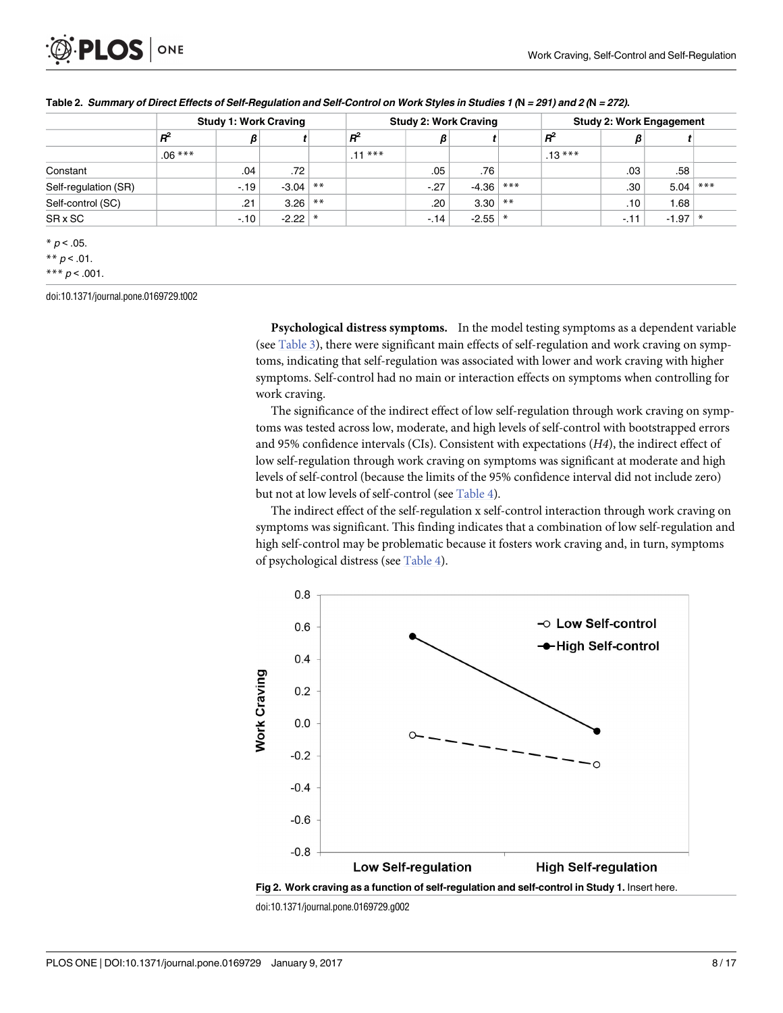<span id="page-7-0"></span>

| <b>Study 1: Work Craving</b> |        |     |        |                            | <b>Study 2: Work Craving</b> |     |       | <b>Study 2: Work Engagement</b>     |        |           |       |
|------------------------------|--------|-----|--------|----------------------------|------------------------------|-----|-------|-------------------------------------|--------|-----------|-------|
| $R^2$                        | β      |     |        | $R^2$                      | $\beta$                      |     |       | $R^2$                               | β      |           |       |
| $.06***$                     |        |     |        | $.11***$                   |                              |     |       | $.13***$                            |        |           |       |
|                              | .04    | .72 |        |                            | .05                          | .76 |       |                                     | .03    | .58       |       |
|                              | $-.19$ |     | $***$  |                            | $-.27$                       |     | $***$ |                                     | .30    | 5.04      | $***$ |
|                              | .21    |     | $**$   |                            | .20 <sup>2</sup>             |     |       |                                     | .10    | 1.68      |       |
|                              | $-10$  |     | $\ast$ |                            | $-.14$                       |     |       |                                     | $-.11$ | $-1.97$ * |       |
|                              |        |     |        | $-3.04$<br>3.26<br>$-2.22$ |                              |     |       | $-4.36$<br>$3.30$ **<br>$-2.55$ $*$ |        |           |       |

|  |  | Table 2. Summary of Direct Effects of Self-Regulation and Self-Control on Work Styles in Studies 1 (N = 291) and 2 (N = 272). |  |  |  |  |
|--|--|-------------------------------------------------------------------------------------------------------------------------------|--|--|--|--|
|--|--|-------------------------------------------------------------------------------------------------------------------------------|--|--|--|--|

\*\*  $p$  < .01.

\*\*\*  $p < .001$ .

doi:10.1371/journal.pone.0169729.t002

**Psychological distress symptoms.** In the model testing symptoms as a dependent variable (see [Table](#page-8-0) 3), there were significant main effects of self-regulation and work craving on symptoms, indicating that self-regulation was associated with lower and work craving with higher symptoms. Self-control had no main or interaction effects on symptoms when controlling for work craving.

The significance of the indirect effect of low self-regulation through work craving on symptoms was tested across low, moderate, and high levels of self-control with bootstrapped errors and 95% confidence intervals (CIs). Consistent with expectations (*H4*), the indirect effect of low self-regulation through work craving on symptoms was significant at moderate and high levels of self-control (because the limits of the 95% confidence interval did not include zero) but not at low levels of self-control (see [Table](#page-8-0) 4).

The indirect effect of the self-regulation x self-control interaction through work craving on symptoms was significant. This finding indicates that a combination of low self-regulation and high self-control may be problematic because it fosters work craving and, in turn, symptoms of psychological distress (see [Table](#page-8-0) 4).



doi:10.1371/journal.pone.0169729.g002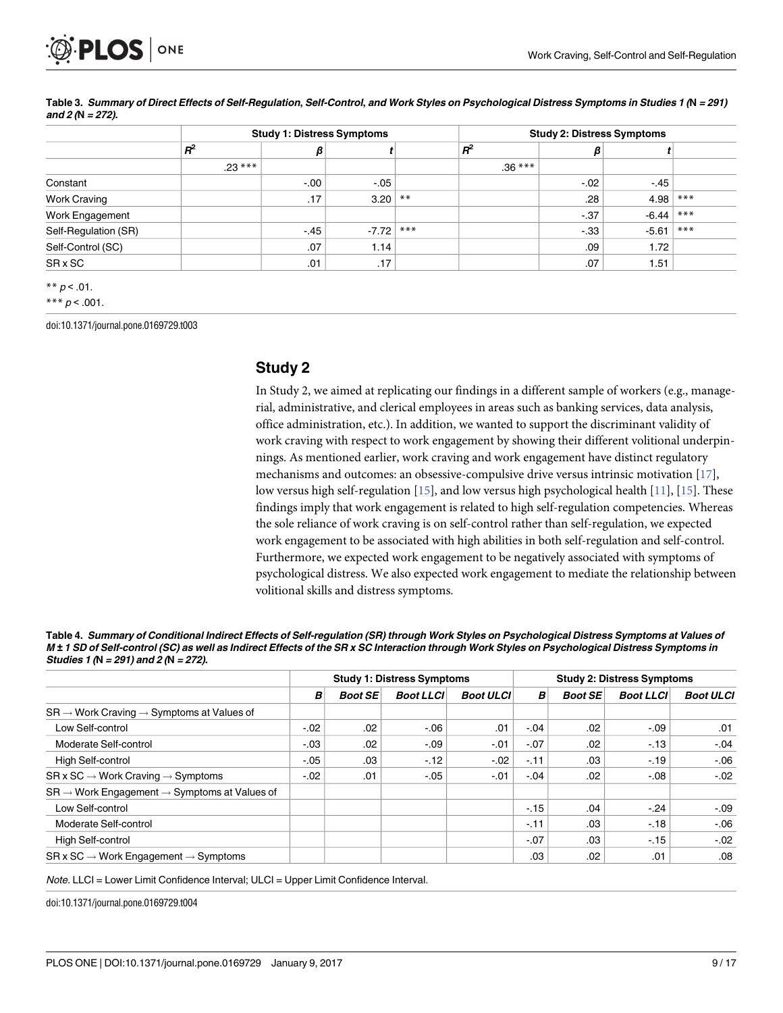<span id="page-8-0"></span>

|                      | <b>Study 1: Distress Symptoms</b> |         |         |       |          | <b>Study 2: Distress Symptoms</b> |         |       |  |
|----------------------|-----------------------------------|---------|---------|-------|----------|-----------------------------------|---------|-------|--|
|                      | $R^2$                             | β       |         |       | $R^2$    | β                                 |         |       |  |
|                      | $.23***$                          |         |         |       | $.36***$ |                                   |         |       |  |
| Constant             |                                   | $-0.00$ | $-.05$  |       |          | $-.02$                            | $-.45$  |       |  |
| <b>Work Craving</b>  |                                   | .17     | 3.20    | $***$ |          | .28                               | 4.98    | $***$ |  |
| Work Engagement      |                                   |         |         |       |          | $-.37$                            | $-6.44$ | $***$ |  |
| Self-Regulation (SR) |                                   | $-.45$  | $-7.72$ | $***$ |          | $-.33$                            | $-5.61$ | $***$ |  |
| Self-Control (SC)    |                                   | .07     | 1.14    |       |          | .09                               | 1.72    |       |  |
| SR x SC              |                                   | .01     | .17     |       |          | .07                               | 1.51    |       |  |

[Table](#page-7-0) 3. Summary of Direct Effects of Self-Regulation, Self-Control, and Work Styles on Psychological Distress Symptoms in Studies 1 (N = 291) **and 2 (N = 272).**

\*\*  $p < .01$ .

\*\*\*  $p < .001$ .

doi:10.1371/journal.pone.0169729.t003

#### **Study 2**

In Study 2, we aimed at replicating our findings in a different sample of workers (e.g., managerial, administrative, and clerical employees in areas such as banking services, data analysis, office administration, etc.). In addition, we wanted to support the discriminant validity of work craving with respect to work engagement by showing their different volitional underpinnings. As mentioned earlier, work craving and work engagement have distinct regulatory mechanisms and outcomes: an obsessive-compulsive drive versus intrinsic motivation [[17](#page-14-0)], low versus high self-regulation [\[15\]](#page-14-0), and low versus high psychological health [[11](#page-14-0)], [\[15\]](#page-14-0). These findings imply that work engagement is related to high self-regulation competencies. Whereas the sole reliance of work craving is on self-control rather than self-regulation, we expected work engagement to be associated with high abilities in both self-regulation and self-control. Furthermore, we expected work engagement to be negatively associated with symptoms of psychological distress. We also expected work engagement to mediate the relationship between volitional skills and distress symptoms.

| Table 4. Summary of Conditional Indirect Effects of Self-regulation (SR) through Work Styles on Psychological Distress Symptoms at Values of   |
|------------------------------------------------------------------------------------------------------------------------------------------------|
| M ± 1 SD of Self-control (SC) as well as Indirect Effects of the SR x SC Interaction through Work Styles on Psychological Distress Symptoms in |
| Studies 1 (N = 291) and 2 (N = 272).                                                                                                           |

|                                                                      | <b>Study 1: Distress Symptoms</b> |                |                  |                  | <b>Study 2: Distress Symptoms</b> |                |                  |                  |
|----------------------------------------------------------------------|-----------------------------------|----------------|------------------|------------------|-----------------------------------|----------------|------------------|------------------|
|                                                                      | B                                 | <b>Boot SE</b> | <b>Boot LLCI</b> | <b>Boot ULCI</b> | В                                 | <b>Boot SE</b> | <b>Boot LLCI</b> | <b>Boot ULCI</b> |
| $SR \rightarrow Work$ Craving $\rightarrow$ Symptoms at Values of    |                                   |                |                  |                  |                                   |                |                  |                  |
| Low Self-control                                                     | $-.02$                            | .02            | $-0.06$          | .01              | $-.04$                            | .02            | $-.09$           | .01              |
| Moderate Self-control                                                | $-.03$                            | .02            | $-.09$           | -.01             | $-.07$                            | .02            | $-13$            | $-.04$           |
| <b>High Self-control</b>                                             | $-.05$                            | .03            | $-12$            | $-.02$           | $-.11$                            | .03            | $-19$            | $-0.06$          |
| $SR \times SC \rightarrow Work Crawing \rightarrow Symptoms$         | $-.02$                            | .01            | $-.05$           | -.01             | $-.04$                            | .02            | $-0.08$          | $-.02$           |
| $SR \rightarrow$ Work Engagement $\rightarrow$ Symptoms at Values of |                                   |                |                  |                  |                                   |                |                  |                  |
| Low Self-control                                                     |                                   |                |                  |                  | $-15$                             | .04            | $-.24$           | $-.09$           |
| Moderate Self-control                                                |                                   |                |                  |                  | $-.11$                            | .03            | $-18$            | $-0.06$          |
| High Self-control                                                    |                                   |                |                  |                  | $-.07$                            | .03            | $-15$            | $-.02$           |
| $SR \times SC \rightarrow Work$ Engagement $\rightarrow$ Symptoms    |                                   |                |                  |                  | .03                               | .02            | .01              | .08              |

Note. LLCI = Lower Limit Confidence Interval; ULCI = Upper Limit Confidence Interval.

doi:10.1371/journal.pone.0169729.t004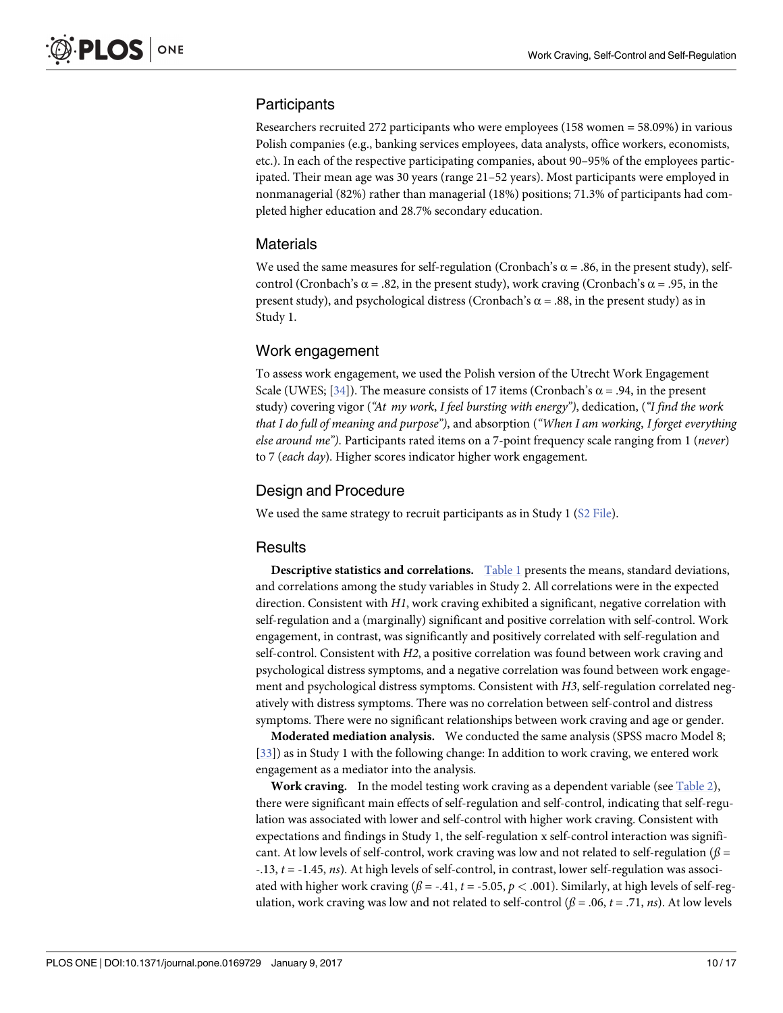# <span id="page-9-0"></span>**Participants**

Researchers recruited 272 participants who were employees (158 women = 58.09%) in various Polish companies (e.g., banking services employees, data analysts, office workers, economists, etc.). In each of the respective participating companies, about 90–95% of the employees participated. Their mean age was 30 years (range 21–52 years). Most participants were employed in nonmanagerial (82%) rather than managerial (18%) positions; 71.3% of participants had completed higher education and 28.7% secondary education.

# **Materials**

We used the same measures for self-regulation (Cronbach's  $\alpha$  = .86, in the present study), selfcontrol (Cronbach's  $\alpha$  = .82, in the present study), work craving (Cronbach's  $\alpha$  = .95, in the present study), and psychological distress (Cronbach's  $\alpha$  = .88, in the present study) as in Study 1.

# Work engagement

To assess work engagement, we used the Polish version of the Utrecht Work Engagement Scale (UWES; [[34](#page-15-0)]). The measure consists of 17 items (Cronbach's  $\alpha$  = .94, in the present study) covering vigor (*"At my work*, *I feel bursting with energy")*, dedication, (*"I find the work that I do full of meaning and purpose")*, and absorption (*"When I am working*, *I forget everything else around me")*. Participants rated items on a 7-point frequency scale ranging from 1 (*never*) to 7 (*each day*). Higher scores indicator higher work engagement.

# Design and Procedure

We used the same strategy to recruit participants as in Study 1 (S2 [File](#page-13-0)).

#### **Results**

**Descriptive statistics and correlations.** [Table](#page-6-0) 1 presents the means, standard deviations, and correlations among the study variables in Study 2. All correlations were in the expected direction. Consistent with *H1*, work craving exhibited a significant, negative correlation with self-regulation and a (marginally) significant and positive correlation with self-control. Work engagement, in contrast, was significantly and positively correlated with self-regulation and self-control. Consistent with *H2*, a positive correlation was found between work craving and psychological distress symptoms, and a negative correlation was found between work engagement and psychological distress symptoms. Consistent with *H3*, self-regulation correlated negatively with distress symptoms. There was no correlation between self-control and distress symptoms. There were no significant relationships between work craving and age or gender.

**Moderated mediation analysis.** We conducted the same analysis (SPSS macro Model 8; [\[33\]](#page-15-0)) as in Study 1 with the following change: In addition to work craving, we entered work engagement as a mediator into the analysis.

**Work craving.** In the model testing work craving as a dependent variable (see [Table](#page-7-0) 2), there were significant main effects of self-regulation and self-control, indicating that self-regulation was associated with lower and self-control with higher work craving. Consistent with expectations and findings in Study 1, the self-regulation x self-control interaction was significant. At low levels of self-control, work craving was low and not related to self-regulation ( $\beta$  = -.13, *t* = -1.45, *ns*). At high levels of self-control, in contrast, lower self-regulation was associated with higher work craving  $(\beta = -.41, t = -5.05, p < .001)$ . Similarly, at high levels of self-regulation, work craving was low and not related to self-control  $(\beta = .06, t = .71, ns)$ . At low levels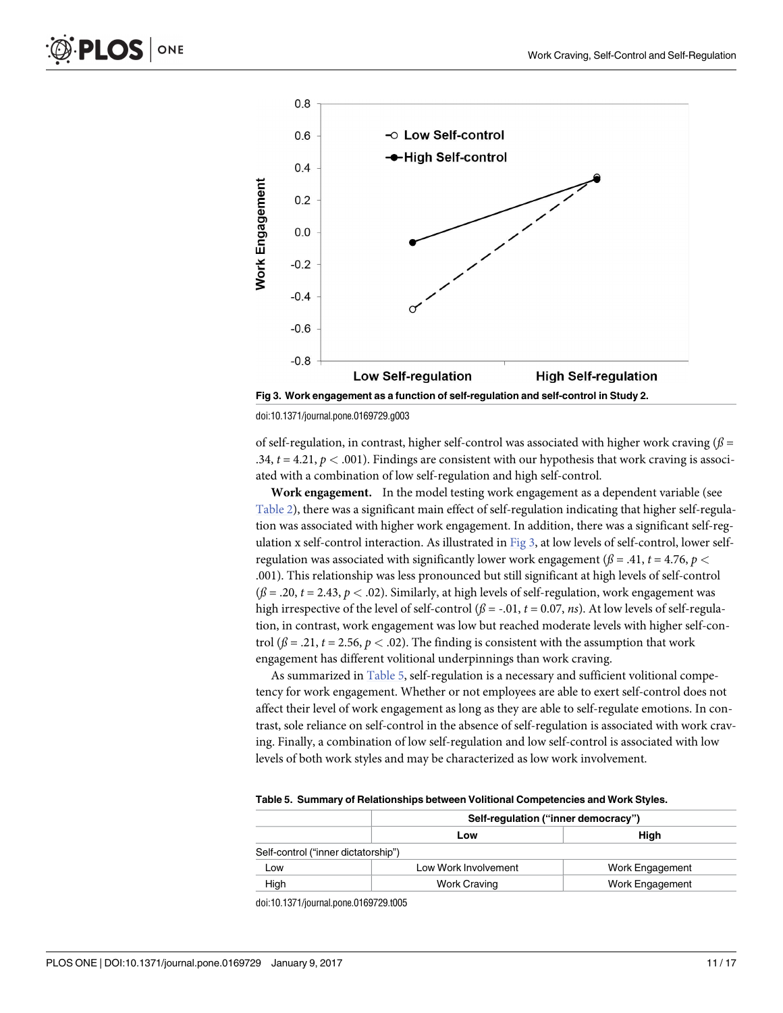

doi:10.1371/journal.pone.0169729.g003

of self-regulation, in contrast, higher self-control was associated with higher work craving  $(\beta =$ .34,  $t = 4.21$ ,  $p < .001$ ). Findings are consistent with our hypothesis that work craving is associated with a combination of low self-regulation and high self-control.

**Work engagement.** In the model testing work engagement as a dependent variable (see [Table](#page-7-0) 2), there was a significant main effect of self-regulation indicating that higher self-regulation was associated with higher work engagement. In addition, there was a significant self-regulation x self-control interaction. As illustrated in Fig 3, at low levels of self-control, lower selfregulation was associated with significantly lower work engagement ( $\beta$  = .41,  $t$  = 4.76,  $p$  < .001). This relationship was less pronounced but still significant at high levels of self-control  $(\beta = .20, t = 2.43, p < .02)$ . Similarly, at high levels of self-regulation, work engagement was high irrespective of the level of self-control  $(\beta = -0.01, t = 0.07, ns)$ . At low levels of self-regulation, in contrast, work engagement was low but reached moderate levels with higher self-control ( $\beta$  = .21,  $t$  = 2.56,  $p$  < .02). The finding is consistent with the assumption that work engagement has different volitional underpinnings than work craving.

As summarized in Table 5, self-regulation is a necessary and sufficient volitional competency for work engagement. Whether or not employees are able to exert self-control does not affect their level of work engagement as long as they are able to self-regulate emotions. In contrast, sole reliance on self-control in the absence of self-regulation is associated with work craving. Finally, a combination of low self-regulation and low self-control is associated with low levels of both work styles and may be characterized as low work involvement.

|  | Table 5. Summary of Relationships between Volitional Competencies and Work Styles. |  |  |
|--|------------------------------------------------------------------------------------|--|--|
|  |                                                                                    |  |  |

|                                     | Self-regulation ("inner democracy") |                 |  |  |  |  |
|-------------------------------------|-------------------------------------|-----------------|--|--|--|--|
|                                     | Low                                 | Hiah            |  |  |  |  |
| Self-control ("inner dictatorship") |                                     |                 |  |  |  |  |
| Low                                 | Low Work Involvement                | Work Engagement |  |  |  |  |
| High                                | Work Craving                        | Work Engagement |  |  |  |  |

doi:10.1371/journal.pone.0169729.t005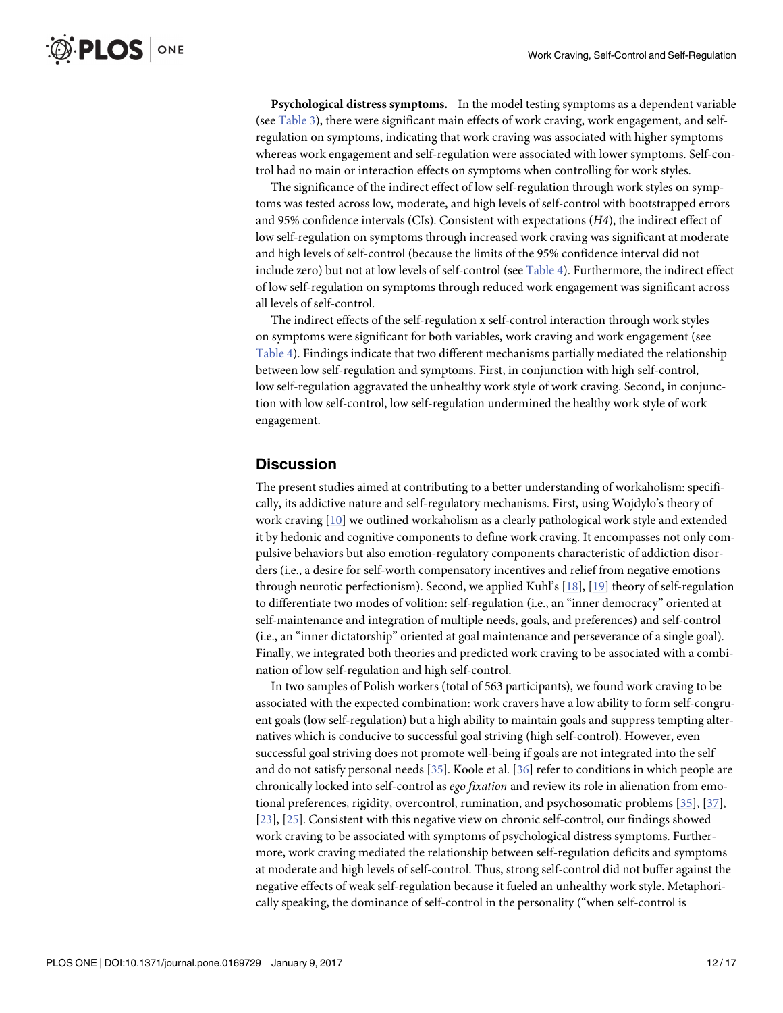<span id="page-11-0"></span>**Psychological distress symptoms.** In the model testing symptoms as a dependent variable (see [Table](#page-8-0) 3), there were significant main effects of work craving, work engagement, and selfregulation on symptoms, indicating that work craving was associated with higher symptoms whereas work engagement and self-regulation were associated with lower symptoms. Self-control had no main or interaction effects on symptoms when controlling for work styles.

The significance of the indirect effect of low self-regulation through work styles on symptoms was tested across low, moderate, and high levels of self-control with bootstrapped errors and 95% confidence intervals (CIs). Consistent with expectations (*H4*), the indirect effect of low self-regulation on symptoms through increased work craving was significant at moderate and high levels of self-control (because the limits of the 95% confidence interval did not include zero) but not at low levels of self-control (see [Table](#page-8-0) 4). Furthermore, the indirect effect of low self-regulation on symptoms through reduced work engagement was significant across all levels of self-control.

The indirect effects of the self-regulation x self-control interaction through work styles on symptoms were significant for both variables, work craving and work engagement (see [Table](#page-8-0) 4). Findings indicate that two different mechanisms partially mediated the relationship between low self-regulation and symptoms. First, in conjunction with high self-control, low self-regulation aggravated the unhealthy work style of work craving. Second, in conjunction with low self-control, low self-regulation undermined the healthy work style of work engagement.

## **Discussion**

The present studies aimed at contributing to a better understanding of workaholism: specifically, its addictive nature and self-regulatory mechanisms. First, using Wojdylo's theory of work craving [\[10\]](#page-14-0) we outlined workaholism as a clearly pathological work style and extended it by hedonic and cognitive components to define work craving. It encompasses not only compulsive behaviors but also emotion-regulatory components characteristic of addiction disorders (i.e., a desire for self-worth compensatory incentives and relief from negative emotions through neurotic perfectionism). Second, we applied Kuhl's [[18](#page-14-0)], [[19](#page-14-0)] theory of self-regulation to differentiate two modes of volition: self-regulation (i.e., an "inner democracy" oriented at self-maintenance and integration of multiple needs, goals, and preferences) and self-control (i.e., an "inner dictatorship" oriented at goal maintenance and perseverance of a single goal). Finally, we integrated both theories and predicted work craving to be associated with a combination of low self-regulation and high self-control.

In two samples of Polish workers (total of 563 participants), we found work craving to be associated with the expected combination: work cravers have a low ability to form self-congruent goals (low self-regulation) but a high ability to maintain goals and suppress tempting alternatives which is conducive to successful goal striving (high self-control). However, even successful goal striving does not promote well-being if goals are not integrated into the self and do not satisfy personal needs [\[35\]](#page-15-0). Koole et al. [\[36\]](#page-15-0) refer to conditions in which people are chronically locked into self-control as *ego fixation* and review its role in alienation from emotional preferences, rigidity, overcontrol, rumination, and psychosomatic problems [\[35\]](#page-15-0), [[37](#page-15-0)], [\[23\]](#page-15-0), [\[25\]](#page-15-0). Consistent with this negative view on chronic self-control, our findings showed work craving to be associated with symptoms of psychological distress symptoms. Furthermore, work craving mediated the relationship between self-regulation deficits and symptoms at moderate and high levels of self-control. Thus, strong self-control did not buffer against the negative effects of weak self-regulation because it fueled an unhealthy work style. Metaphorically speaking, the dominance of self-control in the personality ("when self-control is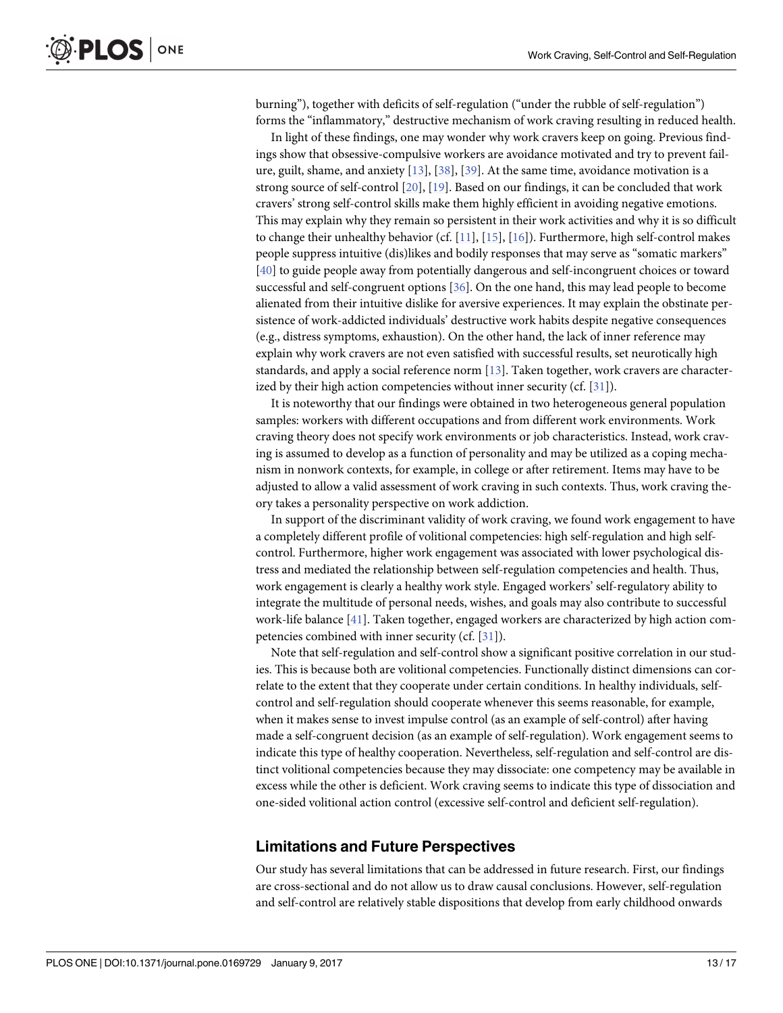<span id="page-12-0"></span>burning"), together with deficits of self-regulation ("under the rubble of self-regulation") forms the "inflammatory," destructive mechanism of work craving resulting in reduced health.

In light of these findings, one may wonder why work cravers keep on going. Previous findings show that obsessive-compulsive workers are avoidance motivated and try to prevent failure, guilt, shame, and anxiety [\[13\]](#page-14-0), [[38](#page-15-0)], [[39](#page-15-0)]. At the same time, avoidance motivation is a strong source of self-control [[20](#page-14-0)], [\[19\]](#page-14-0). Based on our findings, it can be concluded that work cravers' strong self-control skills make them highly efficient in avoiding negative emotions. This may explain why they remain so persistent in their work activities and why it is so difficult to change their unhealthy behavior (cf.  $[11]$ ,  $[15]$ ,  $[16]$  $[16]$  $[16]$ ). Furthermore, high self-control makes people suppress intuitive (dis)likes and bodily responses that may serve as "somatic markers" [\[40\]](#page-15-0) to guide people away from potentially dangerous and self-incongruent choices or toward successful and self-congruent options [[36](#page-15-0)]. On the one hand, this may lead people to become alienated from their intuitive dislike for aversive experiences. It may explain the obstinate persistence of work-addicted individuals' destructive work habits despite negative consequences (e.g., distress symptoms, exhaustion). On the other hand, the lack of inner reference may explain why work cravers are not even satisfied with successful results, set neurotically high standards, and apply a social reference norm [[13](#page-14-0)]. Taken together, work cravers are characterized by their high action competencies without inner security (cf. [\[31](#page-15-0)]).

It is noteworthy that our findings were obtained in two heterogeneous general population samples: workers with different occupations and from different work environments. Work craving theory does not specify work environments or job characteristics. Instead, work craving is assumed to develop as a function of personality and may be utilized as a coping mechanism in nonwork contexts, for example, in college or after retirement. Items may have to be adjusted to allow a valid assessment of work craving in such contexts. Thus, work craving theory takes a personality perspective on work addiction.

In support of the discriminant validity of work craving, we found work engagement to have a completely different profile of volitional competencies: high self-regulation and high selfcontrol. Furthermore, higher work engagement was associated with lower psychological distress and mediated the relationship between self-regulation competencies and health. Thus, work engagement is clearly a healthy work style. Engaged workers' self-regulatory ability to integrate the multitude of personal needs, wishes, and goals may also contribute to successful work-life balance [\[41\]](#page-15-0). Taken together, engaged workers are characterized by high action competencies combined with inner security (cf. [\[31\]](#page-15-0)).

Note that self-regulation and self-control show a significant positive correlation in our studies. This is because both are volitional competencies. Functionally distinct dimensions can correlate to the extent that they cooperate under certain conditions. In healthy individuals, selfcontrol and self-regulation should cooperate whenever this seems reasonable, for example, when it makes sense to invest impulse control (as an example of self-control) after having made a self-congruent decision (as an example of self-regulation). Work engagement seems to indicate this type of healthy cooperation. Nevertheless, self-regulation and self-control are distinct volitional competencies because they may dissociate: one competency may be available in excess while the other is deficient. Work craving seems to indicate this type of dissociation and one-sided volitional action control (excessive self-control and deficient self-regulation).

#### **Limitations and Future Perspectives**

Our study has several limitations that can be addressed in future research. First, our findings are cross-sectional and do not allow us to draw causal conclusions. However, self-regulation and self-control are relatively stable dispositions that develop from early childhood onwards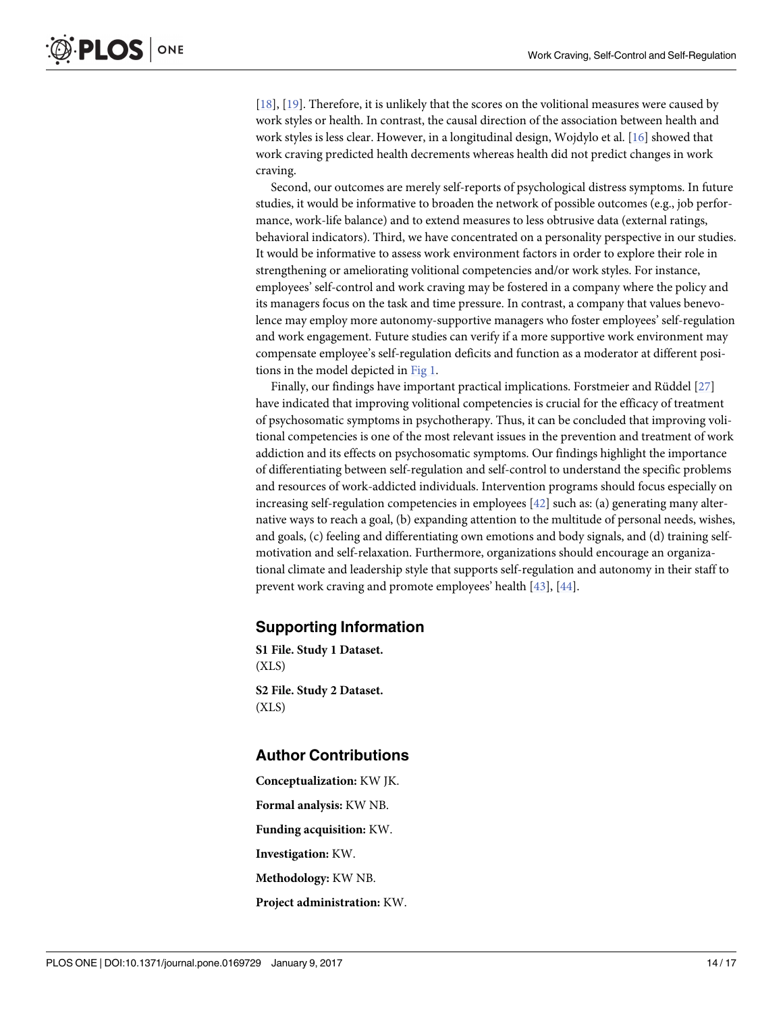<span id="page-13-0"></span>[\[18\]](#page-14-0), [\[19\]](#page-14-0). Therefore, it is unlikely that the scores on the volitional measures were caused by work styles or health. In contrast, the causal direction of the association between health and work styles is less clear. However, in a longitudinal design, Wojdylo et al. [\[16\]](#page-14-0) showed that work craving predicted health decrements whereas health did not predict changes in work craving.

Second, our outcomes are merely self-reports of psychological distress symptoms. In future studies, it would be informative to broaden the network of possible outcomes (e.g., job performance, work-life balance) and to extend measures to less obtrusive data (external ratings, behavioral indicators). Third, we have concentrated on a personality perspective in our studies. It would be informative to assess work environment factors in order to explore their role in strengthening or ameliorating volitional competencies and/or work styles. For instance, employees' self-control and work craving may be fostered in a company where the policy and its managers focus on the task and time pressure. In contrast, a company that values benevolence may employ more autonomy-supportive managers who foster employees' self-regulation and work engagement. Future studies can verify if a more supportive work environment may compensate employee's self-regulation deficits and function as a moderator at different positions in the model depicted in [Fig](#page-4-0) 1.

Finally, our findings have important practical implications. Forstmeier and Rüddel [\[27\]](#page-15-0) have indicated that improving volitional competencies is crucial for the efficacy of treatment of psychosomatic symptoms in psychotherapy. Thus, it can be concluded that improving volitional competencies is one of the most relevant issues in the prevention and treatment of work addiction and its effects on psychosomatic symptoms. Our findings highlight the importance of differentiating between self-regulation and self-control to understand the specific problems and resources of work-addicted individuals. Intervention programs should focus especially on increasing self-regulation competencies in employees [\[42\]](#page-15-0) such as: (a) generating many alternative ways to reach a goal, (b) expanding attention to the multitude of personal needs, wishes, and goals, (c) feeling and differentiating own emotions and body signals, and (d) training selfmotivation and self-relaxation. Furthermore, organizations should encourage an organizational climate and leadership style that supports self-regulation and autonomy in their staff to prevent work craving and promote employees' health [\[43\]](#page-16-0), [\[44\]](#page-16-0).

#### **Supporting Information**

**S1 [File.](http://www.plosone.org/article/fetchSingleRepresentation.action?uri=info:doi/10.1371/journal.pone.0169729.s001) Study 1 Dataset.** (XLS) **S2 [File.](http://www.plosone.org/article/fetchSingleRepresentation.action?uri=info:doi/10.1371/journal.pone.0169729.s002) Study 2 Dataset.** (XLS)

#### **Author Contributions**

**Conceptualization:** KW JK. **Formal analysis:** KW NB. **Funding acquisition:** KW. **Investigation:** KW. **Methodology:** KW NB. **Project administration:** KW.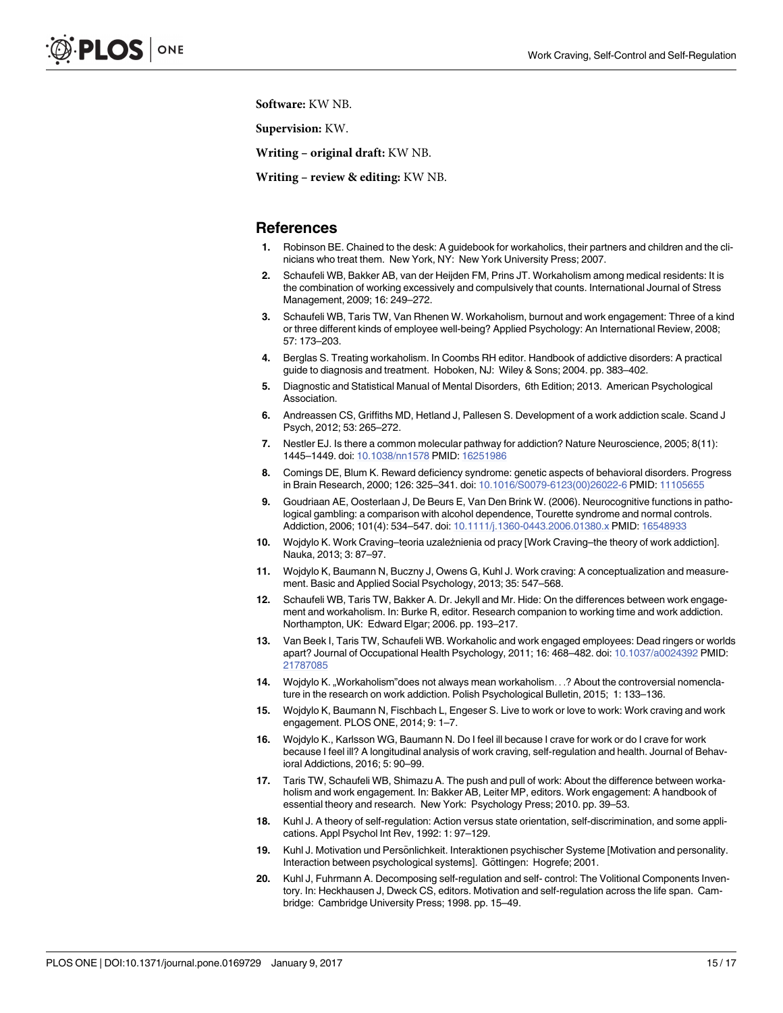<span id="page-14-0"></span>**Software:** KW NB.

**Supervision:** KW.

**Writing – original draft:** KW NB.

**Writing – review & editing:** KW NB.

#### **References**

- **[1](#page-1-0).** Robinson BE. Chained to the desk: A guidebook for workaholics, their partners and children and the clinicians who treat them. New York, NY: New York University Press; 2007.
- **[2](#page-1-0).** Schaufeli WB, Bakker AB, van der Heijden FM, Prins JT. Workaholism among medical residents: It is the combination of working excessively and compulsively that counts. International Journal of Stress Management, 2009; 16: 249–272.
- **[3](#page-1-0).** Schaufeli WB, Taris TW, Van Rhenen W. Workaholism, burnout and work engagement: Three of a kind or three different kinds of employee well-being? Applied Psychology: An International Review, 2008; 57: 173–203.
- **[4](#page-1-0).** Berglas S. Treating workaholism. In Coombs RH editor. Handbook of addictive disorders: A practical guide to diagnosis and treatment. Hoboken, NJ: Wiley & Sons; 2004. pp. 383–402.
- **[5](#page-1-0).** Diagnostic and Statistical Manual of Mental Disorders, 6th Edition; 2013. American Psychological Association.
- **[6](#page-1-0).** Andreassen CS, Griffiths MD, Hetland J, Pallesen S. Development of a work addiction scale. Scand J Psych, 2012; 53: 265–272.
- **[7](#page-1-0).** Nestler EJ. Is there a common molecular pathway for addiction? Nature Neuroscience, 2005; 8(11): 1445–1449. doi: [10.1038/nn1578](http://dx.doi.org/10.1038/nn1578) PMID: [16251986](http://www.ncbi.nlm.nih.gov/pubmed/16251986)
- **[8](#page-1-0).** Comings DE, Blum K. Reward deficiency syndrome: genetic aspects of behavioral disorders. Progress in Brain Research, 2000; 126: 325–341. doi: [10.1016/S0079-6123\(00\)26022-6](http://dx.doi.org/10.1016/S0079-6123(00)26022-6) PMID: [11105655](http://www.ncbi.nlm.nih.gov/pubmed/11105655)
- **[9](#page-1-0).** Goudriaan AE, Oosterlaan J, De Beurs E, Van Den Brink W. (2006). Neurocognitive functions in pathological gambling: a comparison with alcohol dependence, Tourette syndrome and normal controls. Addiction, 2006; 101(4): 534–547. doi: [10.1111/j.1360-0443.2006.01380.x](http://dx.doi.org/10.1111/j.1360-0443.2006.01380.x) PMID: [16548933](http://www.ncbi.nlm.nih.gov/pubmed/16548933)
- **[10](#page-1-0).** Wojdylo K. Work Craving–teoria uzależnienia od pracy [Work Craving–the theory of work addiction]. Nauka, 2013; 3: 87–97.
- **[11](#page-1-0).** Wojdylo K, Baumann N, Buczny J, Owens G, Kuhl J. Work craving: A conceptualization and measurement. Basic and Applied Social Psychology, 2013; 35: 547–568.
- **[12](#page-1-0).** Schaufeli WB, Taris TW, Bakker A. Dr. Jekyll and Mr. Hide: On the differences between work engagement and workaholism. In: Burke R, editor. Research companion to working time and work addiction. Northampton, UK: Edward Elgar; 2006. pp. 193–217.
- **[13](#page-1-0).** Van Beek I, Taris TW, Schaufeli WB. Workaholic and work engaged employees: Dead ringers or worlds apart? Journal of Occupational Health Psychology, 2011; 16: 468–482. doi: [10.1037/a0024392](http://dx.doi.org/10.1037/a0024392) PMID: [21787085](http://www.ncbi.nlm.nih.gov/pubmed/21787085)
- **[14](#page-1-0).** Wojdylo K., Workaholism"does not always mean workaholism. . .? About the controversial nomenclature in the research on work addiction. Polish Psychological Bulletin, 2015; 1: 133–136.
- **[15](#page-2-0).** Wojdylo K, Baumann N, Fischbach L, Engeser S. Live to work or love to work: Work craving and work engagement. PLOS ONE, 2014; 9: 1–7.
- **[16](#page-2-0).** Wojdylo K., Karlsson WG, Baumann N. Do I feel ill because I crave for work or do I crave for work because I feel ill? A longitudinal analysis of work craving, self-regulation and health. Journal of Behavioral Addictions, 2016; 5: 90–99.
- **[17](#page-2-0).** Taris TW, Schaufeli WB, Shimazu A. The push and pull of work: About the difference between workaholism and work engagement. In: Bakker AB, Leiter MP, editors. Work engagement: A handbook of essential theory and research. New York: Psychology Press; 2010. pp. 39–53.
- **[18](#page-3-0).** Kuhl J. A theory of self-regulation: Action versus state orientation, self-discrimination, and some applications. Appl Psychol Int Rev, 1992: 1: 97–129.
- **[19](#page-3-0).** Kuhl J. Motivation und Persönlichkeit. Interaktionen psychischer Systeme [Motivation and personality. Interaction between psychological systems]. Göttingen: Hogrefe; 2001.
- **[20](#page-3-0).** Kuhl J, Fuhrmann A. Decomposing self-regulation and self- control: The Volitional Components Inventory. In: Heckhausen J, Dweck CS, editors. Motivation and self-regulation across the life span. Cambridge: Cambridge University Press; 1998. pp. 15–49.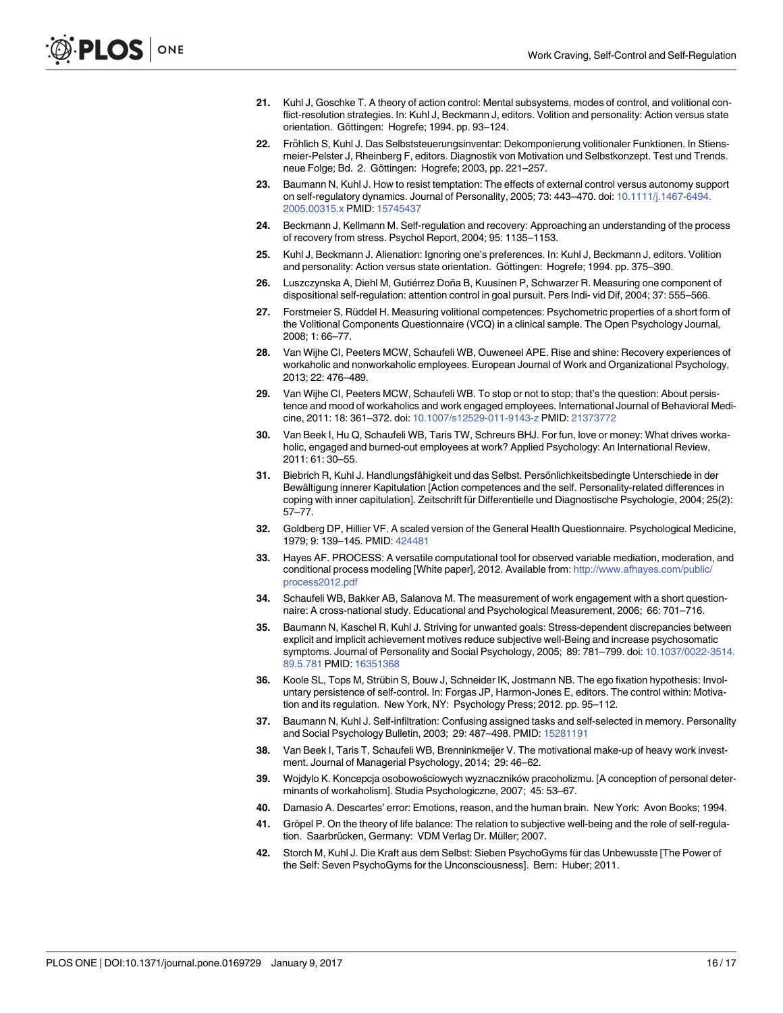- <span id="page-15-0"></span>**[21](#page-3-0).** Kuhl J, Goschke T. A theory of action control: Mental subsystems, modes of control, and volitional conflict-resolution strategies. In: Kuhl J, Beckmann J, editors. Volition and personality: Action versus state orientation. Göttingen: Hogrefe; 1994. pp. 93-124.
- **[22](#page-3-0).** Fröhlich S, Kuhl J. Das Selbststeuerungsinventar: Dekomponierung volitionaler Funktionen. In Stiensmeier-Pelster J, Rheinberg F, editors. Diagnostik von Motivation und Selbstkonzept. Test und Trends. neue Folge; Bd. 2. Göttingen: Hogrefe; 2003, pp. 221-257.
- **[23](#page-3-0).** Baumann N, Kuhl J. How to resist temptation: The effects of external control versus autonomy support on self-regulatory dynamics. Journal of Personality, 2005; 73: 443–470. doi: [10.1111/j.1467-6494.](http://dx.doi.org/10.1111/j.1467-6494.2005.00315.x) [2005.00315.x](http://dx.doi.org/10.1111/j.1467-6494.2005.00315.x) PMID: [15745437](http://www.ncbi.nlm.nih.gov/pubmed/15745437)
- **[24](#page-3-0).** Beckmann J, Kellmann M. Self-regulation and recovery: Approaching an understanding of the process of recovery from stress. Psychol Report, 2004; 95: 1135–1153.
- **[25](#page-3-0).** Kuhl J, Beckmann J. Alienation: Ignoring one's preferences. In: Kuhl J, Beckmann J, editors. Volition and personality: Action versus state orientation. Göttingen: Hogrefe; 1994. pp. 375–390.
- [26](#page-3-0). Luszczynska A, Diehl M, Gutiérrez Doña B, Kuusinen P, Schwarzer R. Measuring one component of dispositional self-regulation: attention control in goal pursuit. Pers Indi- vid Dif, 2004; 37: 555–566.
- **[27](#page-3-0).** Forstmeier S, Rüddel H. Measuring volitional competences: Psychometric properties of a short form of the Volitional Components Questionnaire (VCQ) in a clinical sample. The Open Psychology Journal, 2008; 1: 66–77.
- **[28](#page-3-0).** Van Wijhe CI, Peeters MCW, Schaufeli WB, Ouweneel APE. Rise and shine: Recovery experiences of workaholic and nonworkaholic employees. European Journal of Work and Organizational Psychology, 2013; 22: 476–489.
- **[29](#page-3-0).** Van Wijhe CI, Peeters MCW, Schaufeli WB. To stop or not to stop; that's the question: About persistence and mood of workaholics and work engaged employees. International Journal of Behavioral Medicine, 2011: 18: 361–372. doi: [10.1007/s12529-011-9143-z](http://dx.doi.org/10.1007/s12529-011-9143-z) PMID: [21373772](http://www.ncbi.nlm.nih.gov/pubmed/21373772)
- **[30](#page-4-0).** Van Beek I, Hu Q, Schaufeli WB, Taris TW, Schreurs BHJ. For fun, love or money: What drives workaholic, engaged and burned-out employees at work? Applied Psychology: An International Review, 2011: 61: 30–55.
- **[31](#page-4-0).** Biebrich R, Kuhl J. Handlungsfähigkeit und das Selbst. Persönlichkeitsbedingte Unterschiede in der Bewältigung innerer Kapitulation [Action competences and the self. Personality-related differences in coping with inner capitulation]. Zeitschrift für Differentielle und Diagnostische Psychologie, 2004; 25(2): 57–77.
- **[32](#page-5-0).** Goldberg DP, Hillier VF. A scaled version of the General Health Questionnaire. Psychological Medicine, 1979; 9: 139–145. PMID: [424481](http://www.ncbi.nlm.nih.gov/pubmed/424481)
- **[33](#page-6-0).** Hayes AF. PROCESS: A versatile computational tool for observed variable mediation, moderation, and conditional process modeling [White paper], 2012. Available from: [http://www.afhayes.com/public/](http://www.afhayes.com/public/process2012.pdf) [process2012.pdf](http://www.afhayes.com/public/process2012.pdf)
- **[34](#page-9-0).** Schaufeli WB, Bakker AB, Salanova M. The measurement of work engagement with a short questionnaire: A cross-national study. Educational and Psychological Measurement, 2006; 66: 701–716.
- **[35](#page-11-0).** Baumann N, Kaschel R, Kuhl J. Striving for unwanted goals: Stress-dependent discrepancies between explicit and implicit achievement motives reduce subjective well-Being and increase psychosomatic symptoms. Journal of Personality and Social Psychology, 2005; 89: 781–799. doi: [10.1037/0022-3514.](http://dx.doi.org/10.1037/0022-3514.89.5.781) [89.5.781](http://dx.doi.org/10.1037/0022-3514.89.5.781) PMID: [16351368](http://www.ncbi.nlm.nih.gov/pubmed/16351368)
- **[36](#page-11-0).** Koole SL, Tops M, Strübin S, Bouw J, Schneider IK, Jostmann NB. The ego fixation hypothesis: Involuntary persistence of self-control. In: Forgas JP, Harmon-Jones E, editors. The control within: Motivation and its regulation. New York, NY: Psychology Press; 2012. pp. 95–112.
- **[37](#page-11-0).** Baumann N, Kuhl J. Self-infiltration: Confusing assigned tasks and self-selected in memory. Personality and Social Psychology Bulletin, 2003; 29: 487–498. PMID: [15281191](http://www.ncbi.nlm.nih.gov/pubmed/15281191)
- **[38](#page-12-0).** Van Beek I, Taris T, Schaufeli WB, Brenninkmeijer V. The motivational make-up of heavy work investment. Journal of Managerial Psychology, 2014; 29: 46–62.
- **[39](#page-12-0).** Wojdylo K. Koncepcja osobowościowych wyznaczników pracoholizmu. [A conception of personal determinants of workaholism]. Studia Psychologiczne, 2007; 45: 53–67.
- **[40](#page-12-0).** Damasio A. Descartes' error: Emotions, reason, and the human brain. New York: Avon Books; 1994.
- **[41](#page-12-0).** Gröpel P. On the theory of life balance: The relation to subjective well-being and the role of self-regulation. Saarbrücken, Germany: VDM Verlag Dr. Müller; 2007.
- **[42](#page-13-0).** Storch M, Kuhl J. Die Kraft aus dem Selbst: Sieben PsychoGyms für das Unbewusste [The Power of the Self: Seven PsychoGyms for the Unconsciousness]. Bern: Huber; 2011.